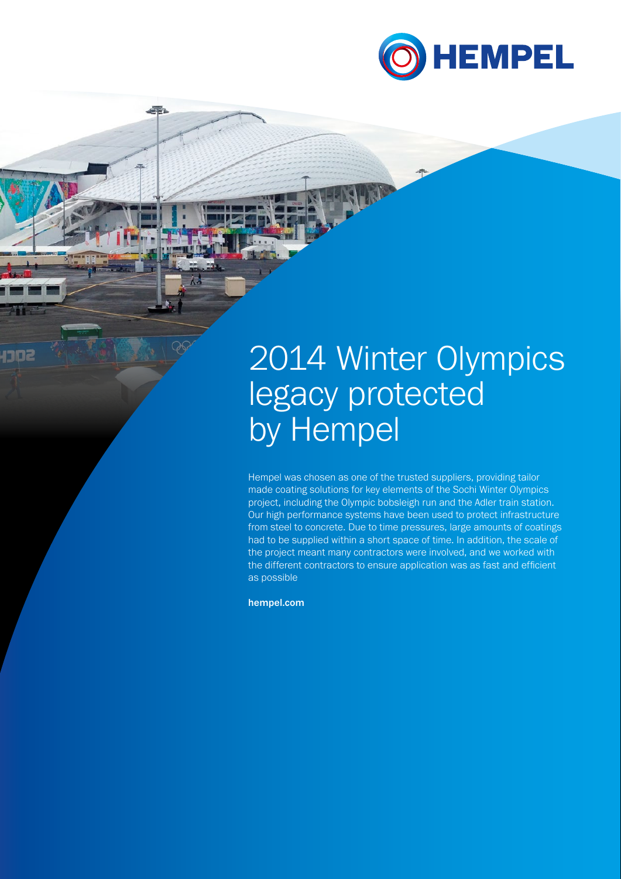

## 2014 Winter Olympics legacy protected by Hempel

Hempel was chosen as one of the trusted suppliers, providing tailor made coating solutions for key elements of the Sochi Winter Olympics project, including the Olympic bobsleigh run and the Adler train station. Our high performance systems have been used to protect infrastructure from steel to concrete. Due to time pressures, large amounts of coatings had to be supplied within a short space of time. In addition, the scale of the project meant many contractors were involved, and we worked with the different contractors to ensure application was as fast and efficient as possible

hempel.com

et.

1102